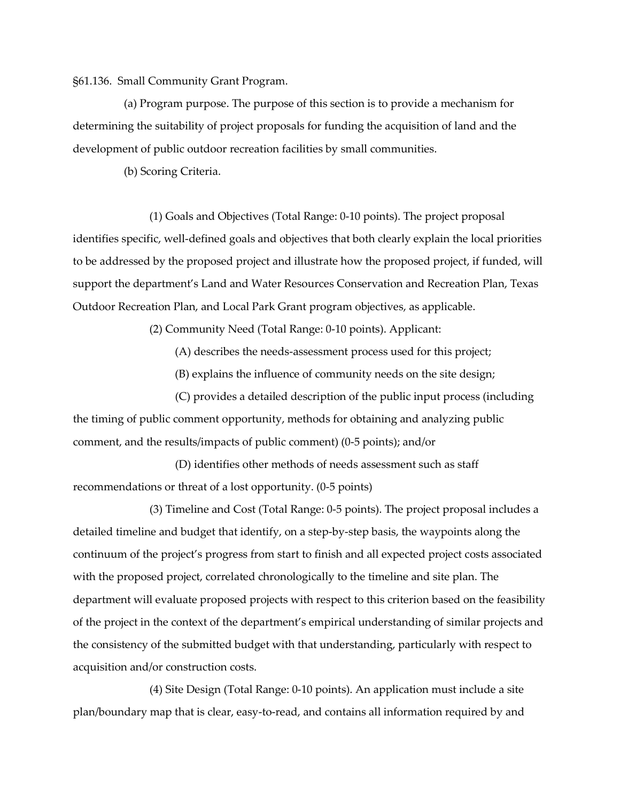§61.136. Small Community Grant Program.

(a) Program purpose. The purpose of this section is to provide a mechanism for determining the suitability of project proposals for funding the acquisition of land and the development of public outdoor recreation facilities by small communities.

(b) Scoring Criteria.

(1) Goals and Objectives (Total Range: 0-10 points). The project proposal identifies specific, well-defined goals and objectives that both clearly explain the local priorities to be addressed by the proposed project and illustrate how the proposed project, if funded, will support the department's Land and Water Resources Conservation and Recreation Plan, Texas Outdoor Recreation Plan, and Local Park Grant program objectives, as applicable.

(2) Community Need (Total Range: 0-10 points). Applicant:

(A) describes the needs-assessment process used for this project;

(B) explains the influence of community needs on the site design;

(C) provides a detailed description of the public input process (including the timing of public comment opportunity, methods for obtaining and analyzing public comment, and the results/impacts of public comment) (0-5 points); and/or

(D) identifies other methods of needs assessment such as staff recommendations or threat of a lost opportunity. (0-5 points)

(3) Timeline and Cost (Total Range: 0-5 points). The project proposal includes a detailed timeline and budget that identify, on a step-by-step basis, the waypoints along the continuum of the project's progress from start to finish and all expected project costs associated with the proposed project, correlated chronologically to the timeline and site plan. The department will evaluate proposed projects with respect to this criterion based on the feasibility of the project in the context of the department's empirical understanding of similar projects and the consistency of the submitted budget with that understanding, particularly with respect to acquisition and/or construction costs.

(4) Site Design (Total Range: 0-10 points). An application must include a site plan/boundary map that is clear, easy-to-read, and contains all information required by and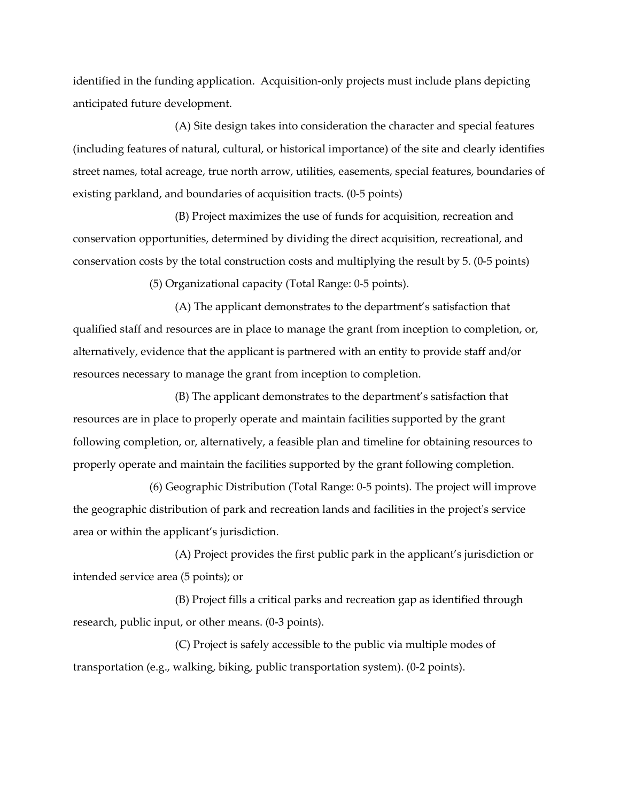identified in the funding application. Acquisition-only projects must include plans depicting anticipated future development.

(A) Site design takes into consideration the character and special features (including features of natural, cultural, or historical importance) of the site and clearly identifies street names, total acreage, true north arrow, utilities, easements, special features, boundaries of existing parkland, and boundaries of acquisition tracts. (0-5 points)

(B) Project maximizes the use of funds for acquisition, recreation and conservation opportunities, determined by dividing the direct acquisition, recreational, and conservation costs by the total construction costs and multiplying the result by 5. (0-5 points)

(5) Organizational capacity (Total Range: 0-5 points).

(A) The applicant demonstrates to the department's satisfaction that qualified staff and resources are in place to manage the grant from inception to completion, or, alternatively, evidence that the applicant is partnered with an entity to provide staff and/or resources necessary to manage the grant from inception to completion.

(B) The applicant demonstrates to the department's satisfaction that resources are in place to properly operate and maintain facilities supported by the grant following completion, or, alternatively, a feasible plan and timeline for obtaining resources to properly operate and maintain the facilities supported by the grant following completion.

(6) Geographic Distribution (Total Range: 0-5 points). The project will improve the geographic distribution of park and recreation lands and facilities in the project's service area or within the applicant's jurisdiction.

(A) Project provides the first public park in the applicant's jurisdiction or intended service area (5 points); or

(B) Project fills a critical parks and recreation gap as identified through research, public input, or other means. (0-3 points).

(C) Project is safely accessible to the public via multiple modes of transportation (e.g., walking, biking, public transportation system). (0-2 points).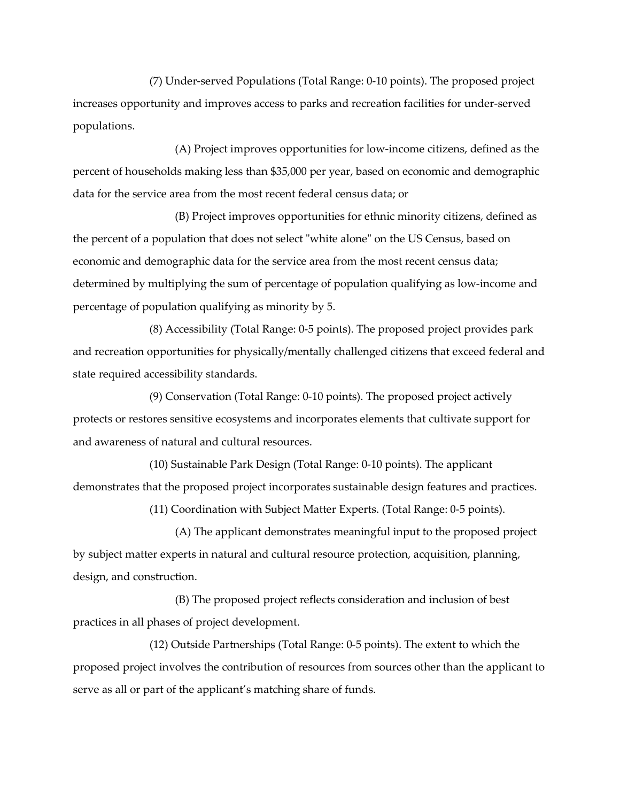(7) Under-served Populations (Total Range: 0-10 points). The proposed project increases opportunity and improves access to parks and recreation facilities for under-served populations.

(A) Project improves opportunities for low-income citizens, defined as the percent of households making less than \$35,000 per year, based on economic and demographic data for the service area from the most recent federal census data; or

(B) Project improves opportunities for ethnic minority citizens, defined as the percent of a population that does not select "white alone" on the US Census, based on economic and demographic data for the service area from the most recent census data; determined by multiplying the sum of percentage of population qualifying as low-income and percentage of population qualifying as minority by 5.

(8) Accessibility (Total Range: 0-5 points). The proposed project provides park and recreation opportunities for physically/mentally challenged citizens that exceed federal and state required accessibility standards.

(9) Conservation (Total Range: 0-10 points). The proposed project actively protects or restores sensitive ecosystems and incorporates elements that cultivate support for and awareness of natural and cultural resources.

(10) Sustainable Park Design (Total Range: 0-10 points). The applicant demonstrates that the proposed project incorporates sustainable design features and practices.

(11) Coordination with Subject Matter Experts. (Total Range: 0-5 points).

(A) The applicant demonstrates meaningful input to the proposed project by subject matter experts in natural and cultural resource protection, acquisition, planning, design, and construction.

(B) The proposed project reflects consideration and inclusion of best practices in all phases of project development.

(12) Outside Partnerships (Total Range: 0-5 points). The extent to which the proposed project involves the contribution of resources from sources other than the applicant to serve as all or part of the applicant's matching share of funds.